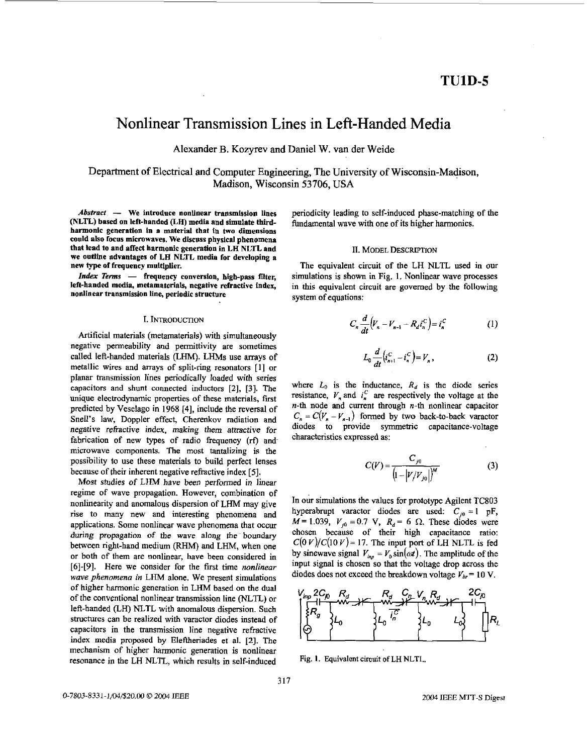# <span id="page-0-0"></span>Nonlinear Transmission Lines in Left-Handed Media

Alexander B. Kozyrev and Daniel W. van der Weide

Department of Electrical and Computer Engineering, The University of Wisconsin-Madison, Madison, Wisconsin 53706, USA

Abstract - We introduce nonlinear transmission lines (NLTL) based on left-handed (LH) media and simulate third**harmonic generation in a material that** in **two dimensions could also focus microwaves. We discuss physical phenomena that lead to and affect harmonic generation in LH NLTL and we outline advantages of LH NLTL medin for developing a new type of frequency multiplier.** 

*Index Terms* - **frequency conversion, high-pass fiter, left-handed media, metamaterials, negative refractive index, nodinear transmission line, periodic structure** 

## I. INTRODUCTION

Artificial materials (metamaterials) with simultaneously negative permeability and permittivity are **sometimes**  called left-handed materials (LHM). LHM<sub>s</sub> use arrays of metallic wires and arrays of split-ring resonators [I] or planar transmission lines periodically loaded with series capacitors and shunt connected inductors **[Z], [3].** The unique electrodynamic properties of these materials, first predicted by Veselago in **1968 [4],** include the reversal of Snell's law, Doppler effect, Cherenkov radiation and negative refractive index, making them attractive for fabrication of new types of radio frequency (rf) and microwave components. The most tantalizing is the possibility to **use** these materials to build perfect lenses because of their inherent negative refractive index *[5].* 

Most studies of LHM have been performed in linear regime of wave propagation. However, combination of nonlinearity and anomalous dispersion of LHM may give rise to many new and interesting phenomena and applications. Some nonlinear wave phenomena that occur during propagation of the wave along the boundary between right-hand medium (RHM) and LHM, when one or both of them are nonlinear, have been considered in *[6]-[9].* Here we consider for the fist time *nonlinear wave phenomena in* LHM alone. We present simulations of higher harmonic generation in LHM based on the dual of the conventional nonlinear transmission line (NLTL) or left-handed (LH) NLTL with anomalous dispersion. Such structures can be realized with varactor diodes instead of capacitors in the transmission line negative refractive index media **proposed** hy Eleftherides et al. 121. The mechanism of higher harmonic generation is nonlinear resonance in the LH **NL'L,** which results in self-induced

periodicity leading to self-induced phase-matching of the fundamental wave with one of its higher harmonics.

#### 11. MODEL DESCRIPTION

The equivalent circuit of the LH NLTL used in our simulations is shown in Fig. **1.** Nonlinear wave processes in this equivalent circuit are governed by the following system of equations:

$$
C_n \frac{d}{dt} \Big( V_n - V_{n-1} - R_d i_n^C \Big) = i_n^C \tag{1}
$$

$$
L_0 \frac{d}{dt} \left( i_{n+1}^C - i_n^C \right) = V_n \,, \tag{2}
$$

where  $L_0$  is the inductance,  $R_d$  is the diode series resistance,  $V_n$  and  $i_n^C$  are respectively the voltage at the *n-th* node and current through n-th nonlinear capacitor  $C_n = C(V_n - V_{n-1})$  formed by two back-to-back varactor diodes to provide symmetric capacitance-voltage characteristics expressed as:

$$
C(V) = \frac{C_{j0}}{\left(1 - |V/V_{j0}|\right)^M}
$$
 (3)

In our simulations the values for prototype Agilent TC803 hyperabrupt varactor diodes are used:  $C_{i0} = 1$  pF,  $M = 1.039$ ,  $V_{i0} = 0.7$  V,  $R_d = 6$   $\Omega$ . These diodes were chosen because of their high capacitance **ratio:**   $C(0 V)/C(10 V) = 17$ . The input port of LH NLTL is fed by sinewave signal  $V_{i\omega} = V_0 \sin(\omega t)$ . The amplitude of the input signal is chosen so that the voltage drop across the diodes does not exceed the breakdown voltage  $V_{br} = 10 \text{ V}$ .



Fig. **1.** Equivalent circuit **of** LH **NLTL.**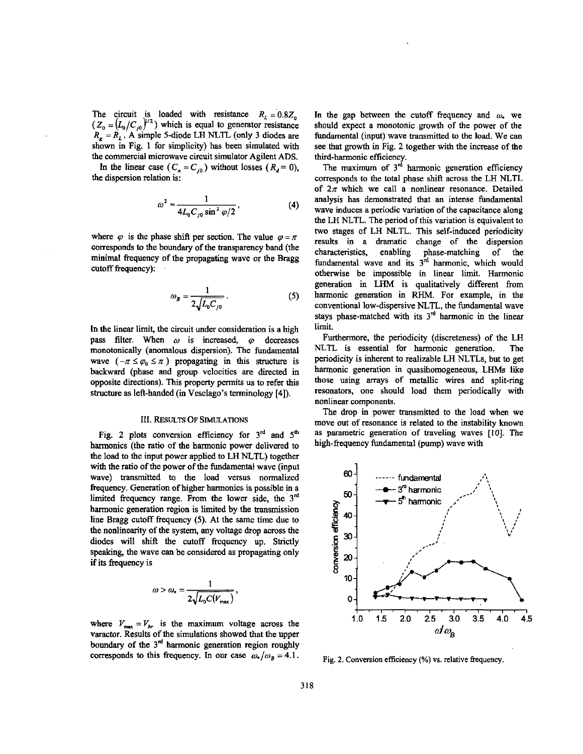The circuit is loaded with resistance  $R_L = 0.8Z_0$  $(Z_0 = (L_0/C_{j0})^{1/2})$  which is equal to generator resistance  $R_g = R_L$ . A simple 5-diode LH NLTL (only 3 diodes are shown in [Fig. 1](#page-0-0) for simplicity) has been simulated with the commercial microwave circuit simulator Agilent ADS.

In the linear case ( $C_n = C_{10}$ ) without losses ( $R_d = 0$ ), the dispersion relation is:

$$
\omega^2 = \frac{1}{4L_0 C_{j0} \sin^2 \varphi/2},
$$
 (4)

where  $\varphi$  is the phase shift per section. The value  $\varphi = \pi$ corresponds to the boundary of the transparency band (the minimal frequency of the propagating wave or the Brag cutoff frequency):

$$
\omega_{B} = \frac{1}{2\sqrt{L_0 C_{j0}}} \,. \tag{5}
$$

In the linear limit, the circuit under consideration is a high pass filter. When  $\omega$  is increased,  $\varphi$  decreases monotonically (anomalous dispersion). The fundamental wave  $(-\pi \leq \varphi_0 \leq \pi)$  propagating in this structure is backward (phase and group velocities **are** directed in opposite directions). **This** property permits **us** to refer **this**  structure **as** left-handed (in Veselago's **terminology [4]).** 

## **111.** RESULTS **OF SIMULATIONS**

Fig. 2 plots conversion efficiency for 3<sup>rd</sup> and 5<sup>th</sup> harmonics (the **ratio** of the harmonic power delivered to the load to the input power applied to LH NLTL) together with the ratio of the power of the fundamental wave (input wave) **transmitted** to the load versus normalized frequency. Generation of higher harmonics is possible in a limited frequency range. From the lower side, the  $3<sup>rd</sup>$ harmonic generation region is limited by the transmission line Bragg cutoff frequency (5). At the same time due to the nonlinearity of the system, any voltage drop across the diodes will shift the cutoff frequency up. Strictly speaking, the wave can be considered as propagating only if its frequency is

$$
\omega > \omega_{\bullet} = \frac{1}{2\sqrt{L_0 C(V_{\text{max}})}},
$$

where  $V_{\text{max}} = V_{br}$  is the maximum voltage across the varactor. Results of the simulations showed that the upper boundary of the  $3<sup>rd</sup>$  harmonic generation region roughly corresponds to this frequency. In our case  $\omega_z/\omega_B = 4.1$ . Fig. 2. Conversion efficiency (%) vs. relative frequency.

In the gap between the cutoff frequency and  $\omega$ , we should expect a monotonic growth of the power of the fundamental (input) wave transmitted to the load. We can see that growth in Fig. 2 together with the increase of the third-harmonic efficiency.

The maximum of  $3<sup>rd</sup>$  harmonic generation efficiency corresponds to the total phase shift across the LH NLTL of  $2\pi$  which we call a nonlinear resonance. Detailed analysis has demonstrated that an intense fundamental wave induces a periodic variation of the capacitance along the LH NLTL. The period of this variation is equivalent to two stages of LH NLTL. This self-induced periodicity results in a dramatic change of the dispersion characteristics. enabling phase-matching of the fundamental wave and its  $3<sup>rd</sup>$  harmonic, which would otherwise be impossible in linear limit. Harmonic generation in LHM is qualitatively different from harmonic generation in RHM. For example, in the conventional low-dispersive NLTL, the fundamental wave stays phase-matched with its  $3<sup>rd</sup>$  harmonic in the linear limit.

Furthermore, the periodicity (discreteness) of the LH NLTL is essential for harmonic generation. The periodicity is inherent to realizable LH NLTLs, but to get harmonic generation in quasihomogeneous, LHMs like those using arrays of metallic wires and split-ring resonators, one should load them periodically with nonlinear components.

The drop in power transmitted to the load when we move out of resonance is related to the instability known as parametric generation of traveling waves [10]. The high-frequency fundamental (pump) wave with

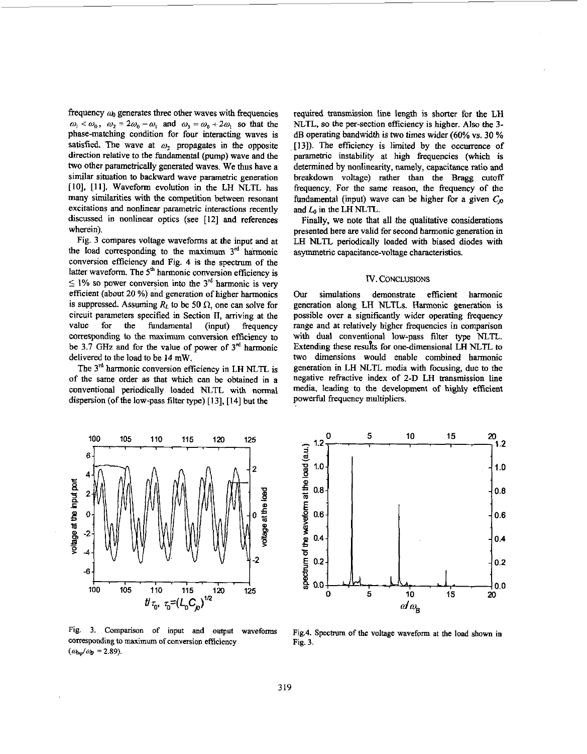frequency a *generates* three other waves with frequencies  $\omega_1 < \omega_0$ ,  $\omega_2 = 2\omega_0 - \omega_1$  and  $\omega_3 = \omega_0 + 2\omega_1$  so that the phase-matching condition for four interacting waves is satisfied. The wave at  $\omega_2$  propagates in the opposite direction relative to the fundamental (pump) wave and the two other parametrically generated waves. We thus have a similar sitnation to backward wave parametric generation [IO], [ll]. Waveform evolution in the **LH NLTL** has **many** similarities with the competition between resonant excitations and nonlinear parametric interactions recently discussed in nonlinear optics (see [12] and references wherein).

Fig. 3 compares voltage waveforms at the input and at the load corresponding to the maximum 3<sup>rd</sup> harmonic conversion efficiency and Fig. 4 is the spectrum of the latter waveform. The 5<sup>th</sup> harmonic conversion efficiency is  $5 \leq 1\%$  so power conversion into the 3<sup>rd</sup> harmonic is very efficient (about *20* %) and generation of higher harmonics is suppressed. Assuming  $R_L$  to be 50  $\Omega$ , one can solve for circuit parameters specified in Section **11,** arriving at the value for the fundamental (input) frequency corresponding **to** the maximum conversion efficiency *to*  be 3.7 **GHz** and for the value of power of 3" harmonic delivered to the load to he 14 mW.

The 3<sup>rd</sup> harmonic conversion efficiency in LH NLTL is of the same order as that which can be obtained in a conventional periodically loaded **NLTL** with **normal**  dispersion (of the low-pass filter **type)** [ 131, [ 141 but the

required transmission line length is **shorter** for the **LH NLTL, so** the per-section efficiency is higher. Also the **3 dB** operating bandwidth is two times wider (60% vs. 30 % [13]). The efficiency is limited by the occurrence of parametric instability at high frequencies (which is determined by nonlinearity, namely, capacitance ratio and breakdown voltage) rather than the Bragg **cutoff**  frequency. For the same reason, the frequency of the fundamental (input) wave can be higher for a given  $C_{0}$ and *Lo* in tbe **LH** NLTL,.

Finally, we note that all *the* qualitative considerations presented here are valid for second harmonic generation in **LH NLTL** periodically loaded with biased diodes with asymmetric capacitance-voltage characteristics.

## N. **CONCLUSIONS**

*Our* simulations demonstrate efficient harmonic generation along LH **NLTLs.** Harmonic generation **is**  possible over a significantly wider operating frequency range and at relatively higher frequencies in comparison with dual conventional low-pass filter type **NLTL.**  Extending **these resuks** for one-dimensional **LH** NLTL **to**  two dimensions would enable combined harmonic generation in **LH NLTL** media with focusing, due **to** the negative refractive index of 2-D LH transmission line media, leading to the development of highly efficient powerful frequency multipliers.



**Fig.** 3. **Comparison** of input **and** output waveforms corresponding **to** maximum of conversion efficiency  $(a_{\text{Im}}/a_{\text{B}} = 2.89)$ .



Fig.4. Spectrum of the voltage waveform at the load **shown** in Fig. 3.